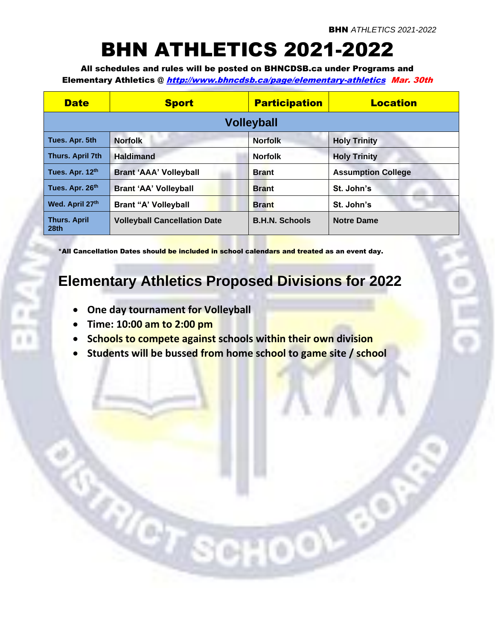# BHN ATHLETICS 2021-2022

All schedules and rules will be posted on BHNCDSB.ca under Programs and Elementary Athletics @ <http://www.bhncdsb.ca/page/elementary-athletics> Mar. 30th

| <b>Date</b>                             | <b>Sport</b>                        | <b>Participation</b>  | <b>Location</b>           |  |
|-----------------------------------------|-------------------------------------|-----------------------|---------------------------|--|
| <b>Volleyball</b>                       |                                     |                       |                           |  |
| Tues. Apr. 5th                          | <b>Norfolk</b>                      | <b>Norfolk</b>        | <b>Holy Trinity</b>       |  |
| Thurs. April 7th                        | <b>Haldimand</b>                    | <b>Norfolk</b>        | <b>Holy Trinity</b>       |  |
| Tues. Apr. 12th                         | <b>Brant 'AAA' Volleyball</b>       | <b>Brant</b>          | <b>Assumption College</b> |  |
| Tues. Apr. 26th                         | <b>Brant 'AA' Volleyball</b>        | <b>Brant</b>          | St. John's                |  |
| Wed. April 27th                         | <b>Brant "A' Volleyball</b>         | <b>Brant</b>          | St. John's                |  |
| <b>Thurs. April</b><br>28 <sub>th</sub> | <b>Volleyball Cancellation Date</b> | <b>B.H.N. Schools</b> | <b>Notre Dame</b>         |  |

\*All Cancellation Dates should be included in school calendars and treated as an event day.

## **Elementary Athletics Proposed Divisions for 2022**

• **One day tournament for Volleyball**

Ver.

- **Time: 10:00 am to 2:00 pm**
- **Schools to compete against schools within their own division**
- **Students will be bussed from home school to game site / school**